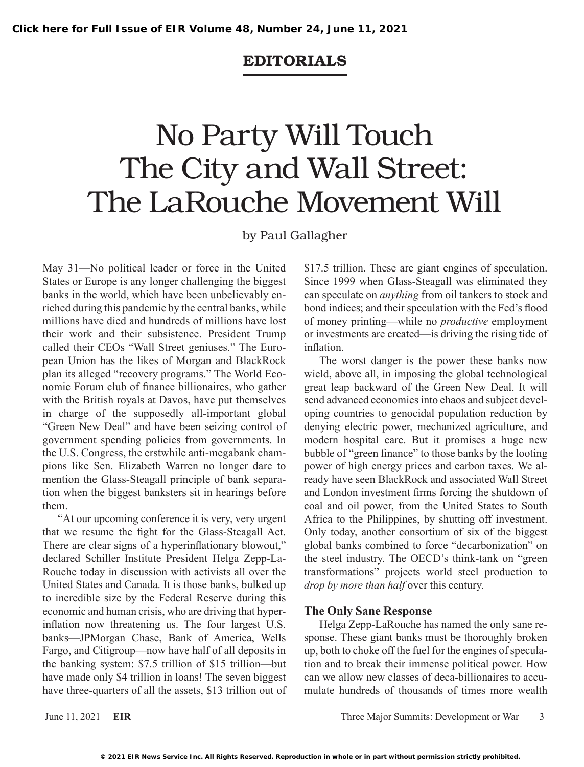### EDITORIALs

# No Party Will Touch The City and Wall Street: The LaRouche Movement Will

#### by Paul Gallagher

May 31—No political leader or force in the United States or Europe is any longer challenging the biggest banks in the world, which have been unbelievably enriched during this pandemic by the central banks, while millions have died and hundreds of millions have lost their work and their subsistence. President Trump called their CEOs "Wall Street geniuses." The European Union has the likes of Morgan and BlackRock plan its alleged "recovery programs." The World Economic Forum club of finance billionaires, who gather with the British royals at Davos, have put themselves in charge of the supposedly all-important global "Green New Deal" and have been seizing control of government spending policies from governments. In the U.S. Congress, the erstwhile anti-megabank champions like Sen. Elizabeth Warren no longer dare to mention the Glass-Steagall principle of bank separation when the biggest banksters sit in hearings before them.

"At our upcoming conference it is very, very urgent that we resume the fight for the Glass-Steagall Act. There are clear signs of a hyperinflationary blowout," declared Schiller Institute President Helga Zepp-La-Rouche today in discussion with activists all over the United States and Canada. It is those banks, bulked up to incredible size by the Federal Reserve during this economic and human crisis, who are driving that hyperinflation now threatening us. The four largest U.S. banks—JPMorgan Chase, Bank of America, Wells Fargo, and Citigroup—now have half of all deposits in the banking system: \$7.5 trillion of \$15 trillion—but have made only \$4 trillion in loans! The seven biggest have three-quarters of all the assets, \$13 trillion out of \$17.5 trillion. These are giant engines of speculation. Since 1999 when Glass-Steagall was eliminated they can speculate on *anything* from oil tankers to stock and bond indices; and their speculation with the Fed's flood of money printing—while no *productive* employment or investments are created—is driving the rising tide of inflation.

The worst danger is the power these banks now wield, above all, in imposing the global technological great leap backward of the Green New Deal. It will send advanced economies into chaos and subject developing countries to genocidal population reduction by denying electric power, mechanized agriculture, and modern hospital care. But it promises a huge new bubble of "green finance" to those banks by the looting power of high energy prices and carbon taxes. We already have seen BlackRock and associated Wall Street and London investment firms forcing the shutdown of coal and oil power, from the United States to South Africa to the Philippines, by shutting off investment. Only today, another consortium of six of the biggest global banks combined to force "decarbonization" on the steel industry. The OECD's think-tank on "green transformations" projects world steel production to *drop by more than half* over this century.

#### **The Only Sane Response**

Helga Zepp-LaRouche has named the only sane response. These giant banks must be thoroughly broken up, both to choke off the fuel for the engines of speculation and to break their immense political power. How can we allow new classes of deca-billionaires to accumulate hundreds of thousands of times more wealth